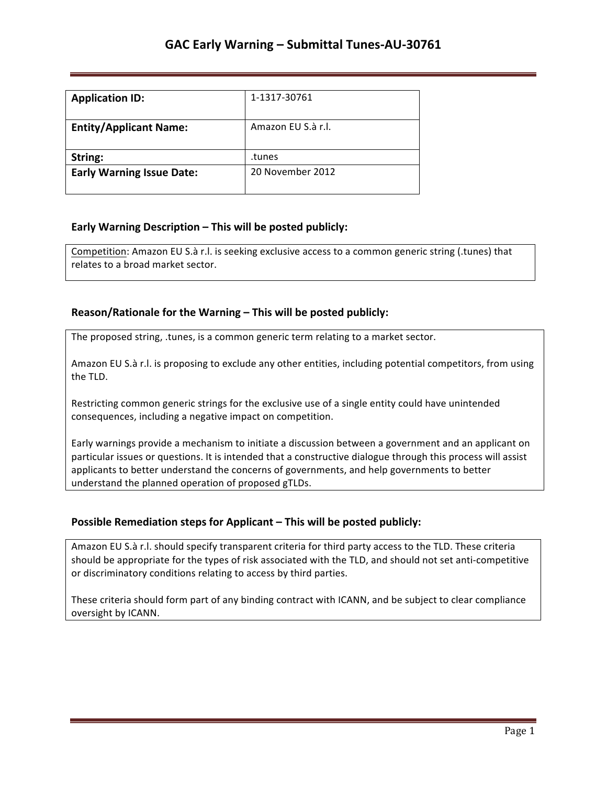| <b>Application ID:</b>           | 1-1317-30761       |
|----------------------------------|--------------------|
| <b>Entity/Applicant Name:</b>    | Amazon FU S.à r.l. |
| String:                          | .tunes             |
| <b>Early Warning Issue Date:</b> | 20 November 2012   |

### **Early Warning Description – This will be posted publicly:**

Competition: Amazon EU S.à r.l. is seeking exclusive access to a common generic string (.tunes) that relates to a broad market sector.

### **Reason/Rationale for the Warning – This will be posted publicly:**

The proposed string, .tunes, is a common generic term relating to a market sector.

Amazon EU S.à r.l. is proposing to exclude any other entities, including potential competitors, from using the TLD.

Restricting common generic strings for the exclusive use of a single entity could have unintended consequences, including a negative impact on competition.

Early warnings provide a mechanism to initiate a discussion between a government and an applicant on particular issues or questions. It is intended that a constructive dialogue through this process will assist applicants to better understand the concerns of governments, and help governments to better understand the planned operation of proposed gTLDs.

## **Possible Remediation steps for Applicant - This will be posted publicly:**

Amazon EU S.à r.l. should specify transparent criteria for third party access to the TLD. These criteria should be appropriate for the types of risk associated with the TLD, and should not set anti-competitive or discriminatory conditions relating to access by third parties.

These criteria should form part of any binding contract with ICANN, and be subject to clear compliance oversight by ICANN.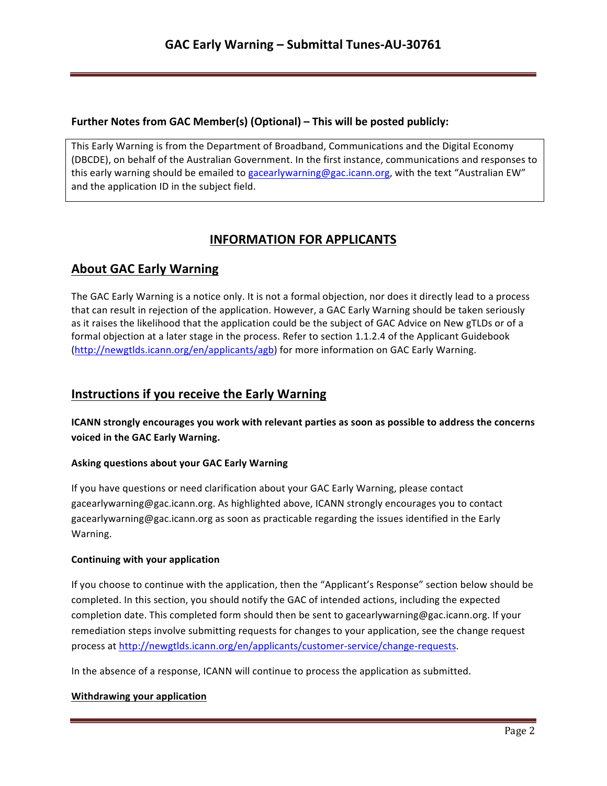### **Further Notes from GAC Member(s) (Optional) – This will be posted publicly:**

This Early Warning is from the Department of Broadband, Communications and the Digital Economy (DBCDE), on behalf of the Australian Government. In the first instance, communications and responses to this early warning should be emailed to gacearlywarning@gac.icann.org, with the text "Australian EW" and the application ID in the subject field.

# **INFORMATION FOR APPLICANTS**

# **About GAC Early Warning**

The GAC Early Warning is a notice only. It is not a formal objection, nor does it directly lead to a process that can result in rejection of the application. However, a GAC Early Warning should be taken seriously as it raises the likelihood that the application could be the subject of GAC Advice on New gTLDs or of a formal objection at a later stage in the process. Refer to section 1.1.2.4 of the Applicant Guidebook (http://newgtlds.icann.org/en/applicants/agb) for more information on GAC Early Warning.

# **Instructions if you receive the Early Warning**

**ICANN** strongly encourages you work with relevant parties as soon as possible to address the concerns voiced in the GAC Early Warning.

#### **Asking questions about your GAC Early Warning**

If you have questions or need clarification about your GAC Early Warning, please contact gacearlywarning@gac.icann.org. As highlighted above, ICANN strongly encourages you to contact gacearlywarning@gac.icann.org as soon as practicable regarding the issues identified in the Early Warning. 

#### **Continuing with your application**

If you choose to continue with the application, then the "Applicant's Response" section below should be completed. In this section, you should notify the GAC of intended actions, including the expected completion date. This completed form should then be sent to gacearlywarning@gac.icann.org. If your remediation steps involve submitting requests for changes to your application, see the change request process at http://newgtlds.icann.org/en/applicants/customer-service/change-requests.

In the absence of a response, ICANN will continue to process the application as submitted.

#### **Withdrawing your application**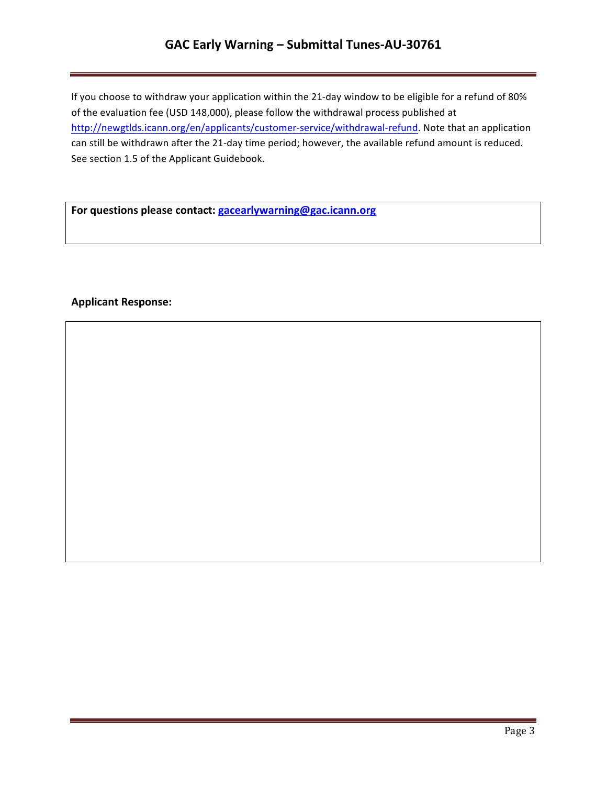# **GAC Early Warning – Submittal Tunes-AU-30761**

If you choose to withdraw your application within the 21-day window to be eligible for a refund of 80% of the evaluation fee (USD 148,000), please follow the withdrawal process published at http://newgtlds.icann.org/en/applicants/customer-service/withdrawal-refund. Note that an application can still be withdrawn after the 21-day time period; however, the available refund amount is reduced. See section 1.5 of the Applicant Guidebook.

For questions please contact: **gacearlywarning@gac.icann.org** 

### **Applicant Response:**